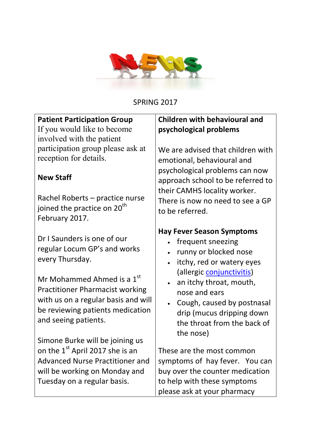

SPRING 2017

## Patient Participation Group

If you would like to become involved with the patient participation group please ask at reception for details.

## New Staff

Rachel Roberts – practice nurse joined the practice on 20<sup>th</sup> February 2017.

Dr I Saunders is one of our regular Locum GP's and works every Thursday.

Mr Mohammed Ahmed is a 1<sup>st</sup> Practitioner Pharmacist working with us on a regular basis and will be reviewing patients medication and seeing patients.

Simone Burke will be joining us on the 1<sup>st</sup> April 2017 she is an Advanced Nurse Practitioner and will be working on Monday and Tuesday on a regular basis.

# Children with behavioural and psychological problems

We are advised that children with emotional, behavioural and psychological problems can now approach school to be referred to their CAMHS locality worker. There is now no need to see a GP to be referred.

## Hay Fever Season Symptoms

- frequent sneezing
- runny or blocked nose
- itchy, red or watery eyes (allergic conjunctivitis)
- an itchy throat, mouth, nose and ears
- Cough, caused by postnasal drip (mucus dripping down the throat from the back of the nose)

These are the most common symptoms of hay fever. You can buy over the counter medication to help with these symptoms please ask at your pharmacy